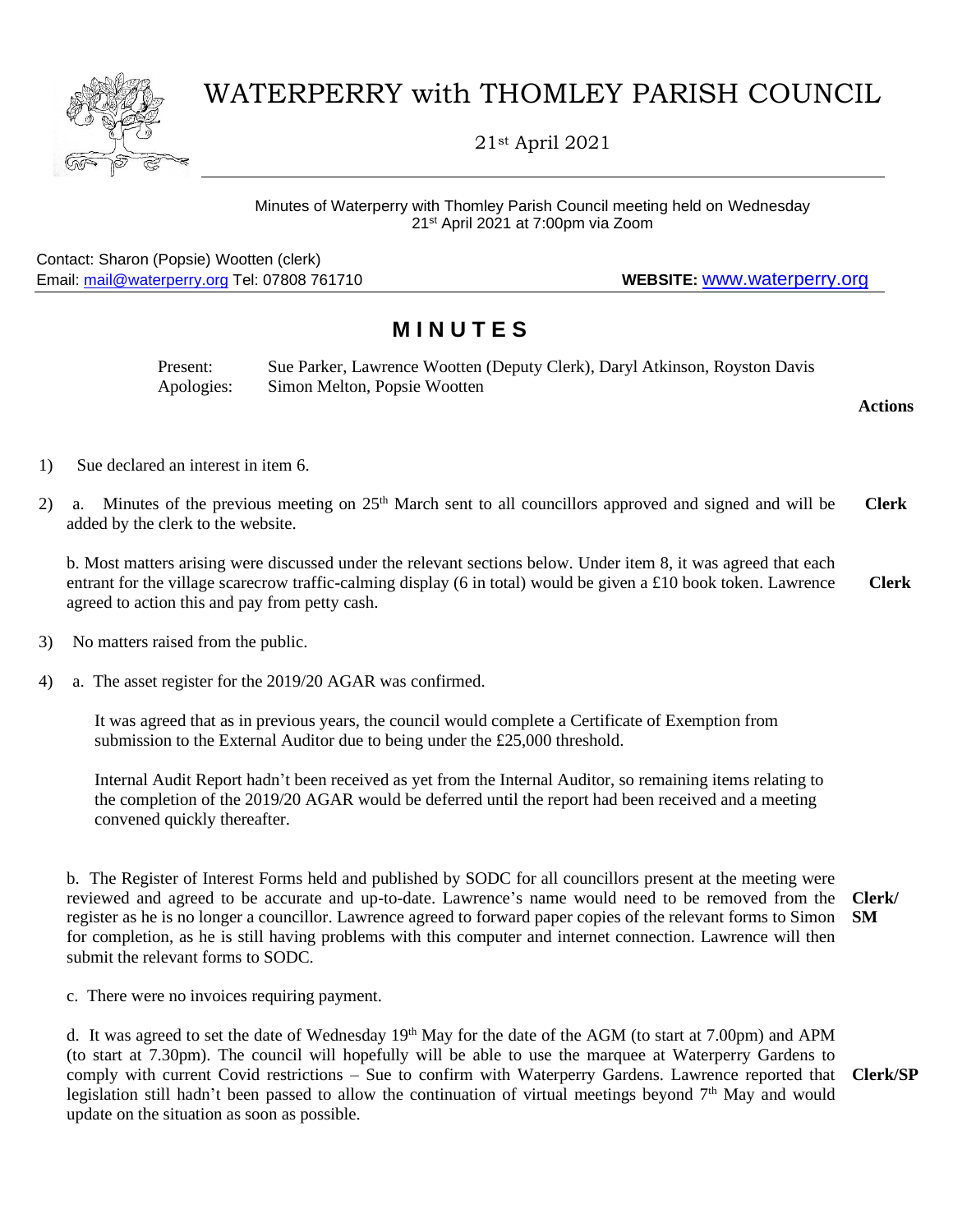## WATERPERRY with THOMLEY PARISH COUNCIL

21st April 2021

## Minutes of Waterperry with Thomley Parish Council meeting held on Wednesday 21st April 2021 at 7:00pm via Zoom

Contact: Sharon (Popsie) Wootten (clerk) Email: [mail@waterperry.org](mailto:mail@waterperry.org) Tel: 07808 761710 **WEBSITE:** [www.waterperry.org](http://www.waterperry.org/)

## **M I N U T E S**

| Present:   | Sue Parker, Lawrence Wootten (Deputy Clerk), Daryl Atkinson, Royston Davis |
|------------|----------------------------------------------------------------------------|
| Apologies: | Simon Melton, Popsie Wootten                                               |

**Actions**

- 1) Sue declared an interest in item 6.
- 2) a. Minutes of the previous meeting on 25<sup>th</sup> March sent to all councillors approved and signed and will be added by the clerk to the website. **Clerk**

b. Most matters arising were discussed under the relevant sections below. Under item 8, it was agreed that each entrant for the village scarecrow traffic-calming display (6 in total) would be given a £10 book token. Lawrence agreed to action this and pay from petty cash.  **Clerk**

- 3) No matters raised from the public.
- 4) a. The asset register for the 2019/20 AGAR was confirmed.

It was agreed that as in previous years, the council would complete a Certificate of Exemption from submission to the External Auditor due to being under the £25,000 threshold.

Internal Audit Report hadn't been received as yet from the Internal Auditor, so remaining items relating to the completion of the 2019/20 AGAR would be deferred until the report had been received and a meeting convened quickly thereafter.

b. The Register of Interest Forms held and published by SODC for all councillors present at the meeting were reviewed and agreed to be accurate and up-to-date. Lawrence's name would need to be removed from the register as he is no longer a councillor. Lawrence agreed to forward paper copies of the relevant forms to Simon **SM** for completion, as he is still having problems with this computer and internet connection. Lawrence will then submit the relevant forms to SODC. **Clerk/**

c. There were no invoices requiring payment.

d. It was agreed to set the date of Wednesday 19<sup>th</sup> May for the date of the AGM (to start at 7.00pm) and APM (to start at 7.30pm). The council will hopefully will be able to use the marquee at Waterperry Gardens to comply with current Covid restrictions – Sue to confirm with Waterperry Gardens. Lawrence reported that legislation still hadn't been passed to allow the continuation of virtual meetings beyond  $7<sup>th</sup>$  May and would update on the situation as soon as possible.

**Clerk/SP**